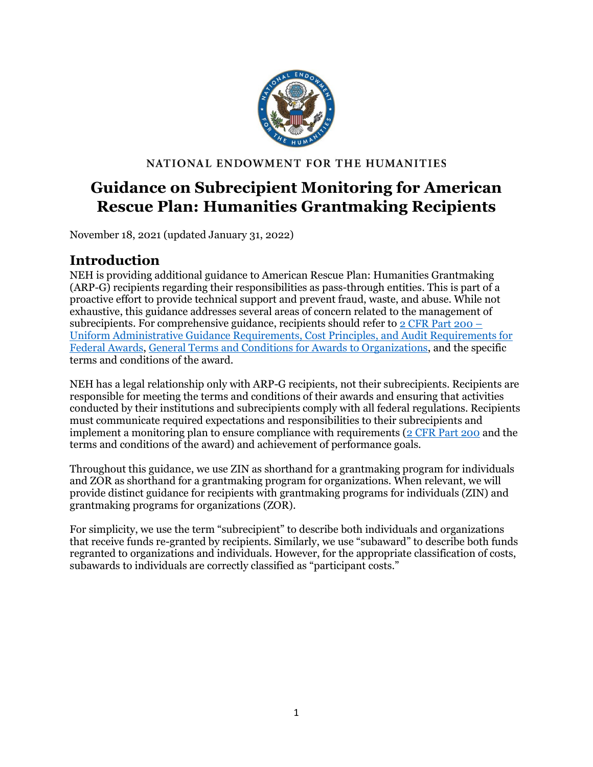

#### NATIONAL ENDOWMENT FOR THE HUMANITIES

# **Guidance on Subrecipient Monitoring for American Rescue Plan: Humanities Grantmaking Recipients**

November 18, 2021 (updated January 31, 2022)

## <span id="page-0-0"></span>**Introduction**

NEH is providing additional guidance to American Rescue Plan: Humanities Grantmaking (ARP-G) recipients regarding their responsibilities as pass-through entities. This is part of a proactive effort to provide technical support and prevent fraud, waste, and abuse. While not exhaustive, this guidance addresses several areas of concern related to the management of subrecipients. For comprehensive guidance, recipients should refer to  $2 \text{ CFR}$  Part 200 – [Uniform Administrative Guidance Requirements, Cost Principles, and Audit Requirements for](https://www.ecfr.gov/current/title-2/subtitle-A/chapter-II/part-200)  [Federal Awards,](https://www.ecfr.gov/current/title-2/subtitle-A/chapter-II/part-200) [General Terms and Conditions for Awards to Organizations,](https://www.neh.gov/grants/manage/general-terms-and-conditions-awards-organizations-grants-and-cooperative-agreements-issued-december) and the specific terms and conditions of the award.

NEH has a legal relationship only with ARP-G recipients, not their subrecipients. Recipients are responsible for meeting the terms and conditions of their awards and ensuring that activities conducted by their institutions and subrecipients comply with all federal regulations. Recipients must communicate required expectations and responsibilities to their subrecipients and implement a monitoring plan to ensure compliance with requirements [\(2 CFR Part 200](https://www.ecfr.gov/current/title-2/subtitle-A/chapter-II/part-200) and the terms and conditions of the award) and achievement of performance goals.

Throughout this guidance, we use ZIN as shorthand for a grantmaking program for individuals and ZOR as shorthand for a grantmaking program for organizations. When relevant, we will provide distinct guidance for recipients with grantmaking programs for individuals (ZIN) and grantmaking programs for organizations (ZOR).

For simplicity, we use the term "subrecipient" to describe both individuals and organizations that receive funds re-granted by recipients. Similarly, we use "subaward" to describe both funds regranted to organizations and individuals. However, for the appropriate classification of costs, subawards to individuals are correctly classified as "participant costs."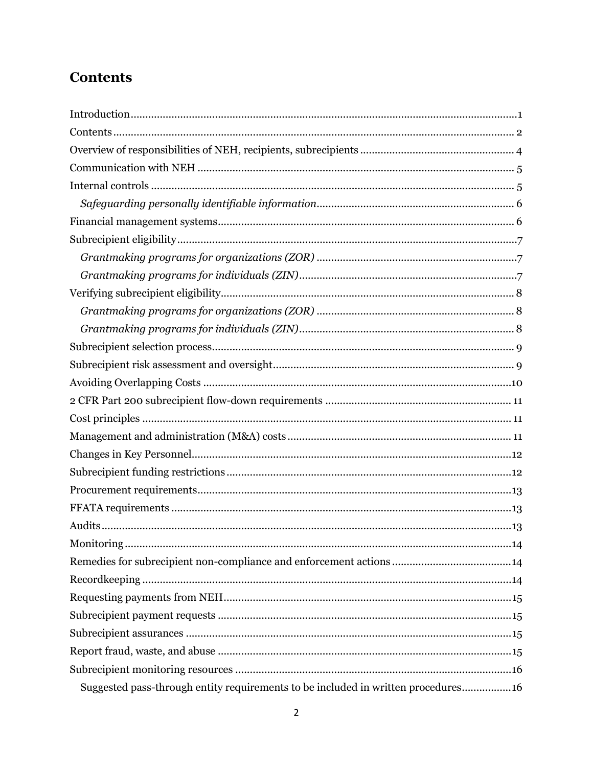# <span id="page-1-0"></span>**Contents**

| Suggested pass-through entity requirements to be included in written procedures16 |
|-----------------------------------------------------------------------------------|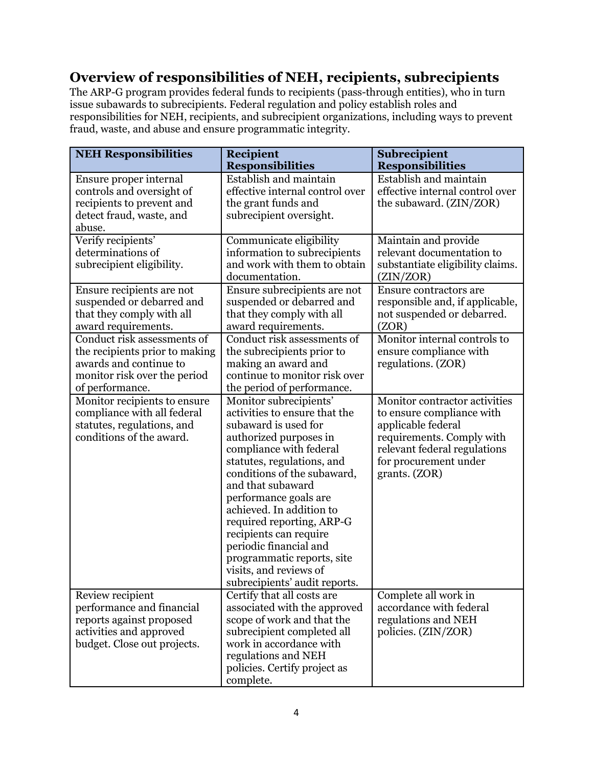## <span id="page-3-0"></span>**Overview of responsibilities of NEH, recipients, subrecipients**

The ARP-G program provides federal funds to recipients (pass-through entities), who in turn issue subawards to subrecipients. Federal regulation and policy establish roles and responsibilities for NEH, recipients, and subrecipient organizations, including ways to prevent fraud, waste, and abuse and ensure programmatic integrity.

| <b>NEH Responsibilities</b>                                                                                                                | <b>Recipient</b>                                                                                                                                                                                                                                                                                                                                                                                                                                      | <b>Subrecipient</b>                                                                                                                                                                     |
|--------------------------------------------------------------------------------------------------------------------------------------------|-------------------------------------------------------------------------------------------------------------------------------------------------------------------------------------------------------------------------------------------------------------------------------------------------------------------------------------------------------------------------------------------------------------------------------------------------------|-----------------------------------------------------------------------------------------------------------------------------------------------------------------------------------------|
|                                                                                                                                            | <b>Responsibilities</b>                                                                                                                                                                                                                                                                                                                                                                                                                               | <b>Responsibilities</b>                                                                                                                                                                 |
| Ensure proper internal<br>controls and oversight of<br>recipients to prevent and<br>detect fraud, waste, and<br>abuse.                     | Establish and maintain<br>effective internal control over<br>the grant funds and<br>subrecipient oversight.                                                                                                                                                                                                                                                                                                                                           | Establish and maintain<br>effective internal control over<br>the subaward. (ZIN/ZOR)                                                                                                    |
| Verify recipients'<br>determinations of<br>subrecipient eligibility.                                                                       | Communicate eligibility<br>information to subrecipients<br>and work with them to obtain<br>documentation.                                                                                                                                                                                                                                                                                                                                             | Maintain and provide<br>relevant documentation to<br>substantiate eligibility claims.<br>(ZIN/ZOR)                                                                                      |
| Ensure recipients are not<br>suspended or debarred and<br>that they comply with all<br>award requirements.                                 | Ensure subrecipients are not<br>suspended or debarred and<br>that they comply with all<br>award requirements.                                                                                                                                                                                                                                                                                                                                         | Ensure contractors are<br>responsible and, if applicable,<br>not suspended or debarred.<br>(ZOR)                                                                                        |
| Conduct risk assessments of<br>the recipients prior to making<br>awards and continue to<br>monitor risk over the period<br>of performance. | Conduct risk assessments of<br>the subrecipients prior to<br>making an award and<br>continue to monitor risk over<br>the period of performance.                                                                                                                                                                                                                                                                                                       | Monitor internal controls to<br>ensure compliance with<br>regulations. (ZOR)                                                                                                            |
| Monitor recipients to ensure<br>compliance with all federal<br>statutes, regulations, and<br>conditions of the award.                      | Monitor subrecipients'<br>activities to ensure that the<br>subaward is used for<br>authorized purposes in<br>compliance with federal<br>statutes, regulations, and<br>conditions of the subaward,<br>and that subaward<br>performance goals are<br>achieved. In addition to<br>required reporting, ARP-G<br>recipients can require<br>periodic financial and<br>programmatic reports, site<br>visits, and reviews of<br>subrecipients' audit reports. | Monitor contractor activities<br>to ensure compliance with<br>applicable federal<br>requirements. Comply with<br>relevant federal regulations<br>for procurement under<br>grants. (ZOR) |
| Review recipient<br>performance and financial<br>reports against proposed<br>activities and approved<br>budget. Close out projects.        | Certify that all costs are<br>associated with the approved<br>scope of work and that the<br>subrecipient completed all<br>work in accordance with<br>regulations and NEH<br>policies. Certify project as<br>complete.                                                                                                                                                                                                                                 | Complete all work in<br>accordance with federal<br>regulations and NEH<br>policies. (ZIN/ZOR)                                                                                           |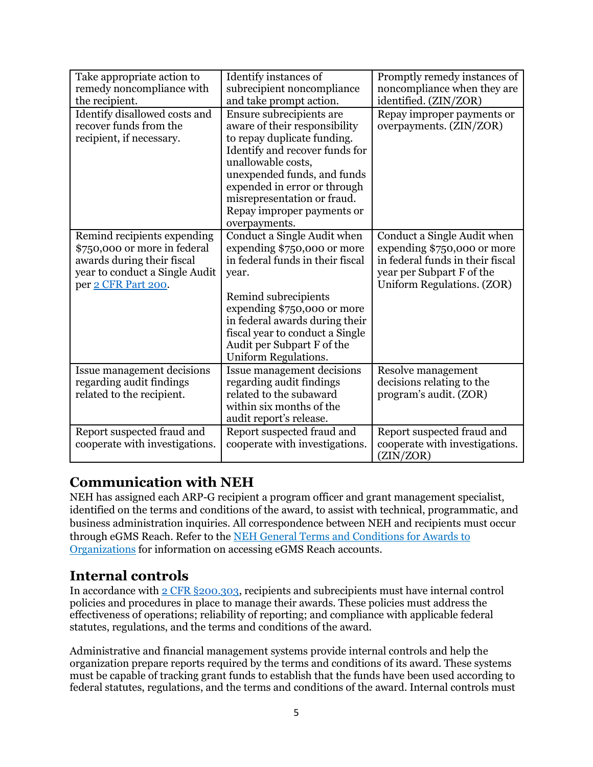| Take appropriate action to<br>remedy noncompliance with<br>the recipient.                                                                          | Identify instances of<br>subrecipient noncompliance<br>and take prompt action.                                                                                                                                                                                                                | Promptly remedy instances of<br>noncompliance when they are<br>identified. (ZIN/ZOR)                                                                      |
|----------------------------------------------------------------------------------------------------------------------------------------------------|-----------------------------------------------------------------------------------------------------------------------------------------------------------------------------------------------------------------------------------------------------------------------------------------------|-----------------------------------------------------------------------------------------------------------------------------------------------------------|
| Identify disallowed costs and<br>recover funds from the<br>recipient, if necessary.                                                                | Ensure subrecipients are<br>aware of their responsibility<br>to repay duplicate funding.<br>Identify and recover funds for<br>unallowable costs,<br>unexpended funds, and funds<br>expended in error or through<br>misrepresentation or fraud.<br>Repay improper payments or<br>overpayments. | Repay improper payments or<br>overpayments. (ZIN/ZOR)                                                                                                     |
| Remind recipients expending<br>\$750,000 or more in federal<br>awards during their fiscal<br>year to conduct a Single Audit<br>per 2 CFR Part 200. | Conduct a Single Audit when<br>expending \$750,000 or more<br>in federal funds in their fiscal<br>year.<br>Remind subrecipients<br>expending \$750,000 or more<br>in federal awards during their<br>fiscal year to conduct a Single<br>Audit per Subpart F of the<br>Uniform Regulations.     | Conduct a Single Audit when<br>expending \$750,000 or more<br>in federal funds in their fiscal<br>year per Subpart F of the<br>Uniform Regulations. (ZOR) |
| Issue management decisions<br>regarding audit findings<br>related to the recipient.                                                                | Issue management decisions<br>regarding audit findings<br>related to the subaward<br>within six months of the<br>audit report's release.                                                                                                                                                      | Resolve management<br>decisions relating to the<br>program's audit. (ZOR)                                                                                 |
| Report suspected fraud and<br>cooperate with investigations.                                                                                       | Report suspected fraud and<br>cooperate with investigations.                                                                                                                                                                                                                                  | Report suspected fraud and<br>cooperate with investigations.<br>(ZIN/ZOR)                                                                                 |

## <span id="page-4-0"></span>**Communication with NEH**

NEH has assigned each ARP-G recipient a program officer and grant management specialist, identified on the terms and conditions of the award, to assist with technical, programmatic, and business administration inquiries. All correspondence between NEH and recipients must occur through eGMS Reach. Refer to the [NEH General Terms and Conditions for Awards to](https://www.neh.gov/grants/manage/general-terms-and-conditions-awards-organizations-grants-and-cooperative-agreements-issued-december)  [Organizations](https://www.neh.gov/grants/manage/general-terms-and-conditions-awards-organizations-grants-and-cooperative-agreements-issued-december) for information on accessing eGMS Reach accounts.

### <span id="page-4-1"></span>**Internal controls**

In accordance with [2 CFR §200.303,](https://www.ecfr.gov/current/title-2/subtitle-A/chapter-II/part-200#200.303) recipients and subrecipients must have internal control policies and procedures in place to manage their awards. These policies must address the effectiveness of operations; reliability of reporting; and compliance with applicable federal statutes, regulations, and the terms and conditions of the award.

Administrative and financial management systems provide internal controls and help the organization prepare reports required by the terms and conditions of its award. These systems must be capable of tracking grant funds to establish that the funds have been used according to federal statutes, regulations, and the terms and conditions of the award. Internal controls must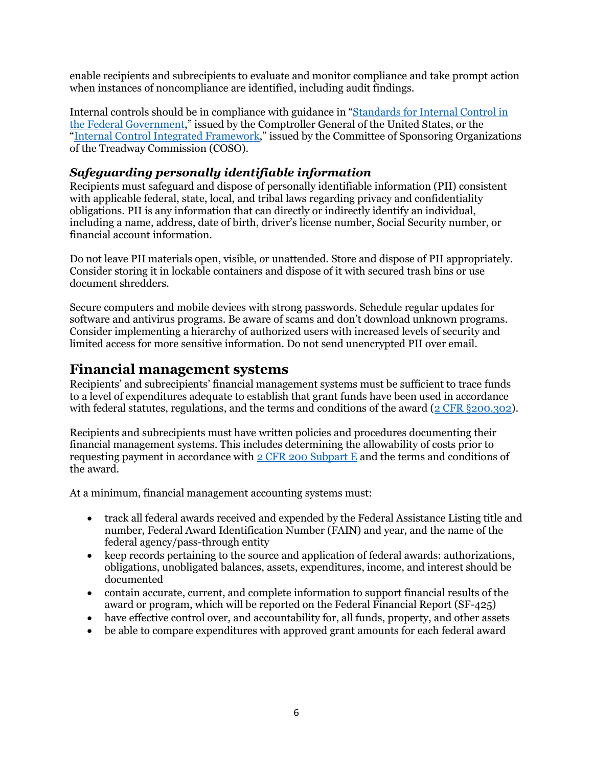enable recipients and subrecipients to evaluate and monitor compliance and take prompt action when instances of noncompliance are identified, including audit findings.

Internal controls should be in compliance with guidance in ["Standards for Internal Control in](https://www.gao.gov/products/gao-14-704g#:%7E:text=Standards%20for%20Internal%20Control%20in%20the%20Federal%20Government,of%20internal%20control%20shown%20in%20the%20cube%20below.)  [the Federal Government,](https://www.gao.gov/products/gao-14-704g#:%7E:text=Standards%20for%20Internal%20Control%20in%20the%20Federal%20Government,of%20internal%20control%20shown%20in%20the%20cube%20below.)" issued by the Comptroller General of the United States, or the ["Internal Control Integrated Framework,](https://www.coso.org/pages/ic.aspx)" issued by the Committee of Sponsoring Organizations of the Treadway Commission (COSO).

#### <span id="page-5-0"></span>*Safeguarding personally identifiable information*

Recipients must safeguard and dispose of personally identifiable information (PII) consistent with applicable federal, state, local, and tribal laws regarding privacy and confidentiality obligations. PII is any information that can directly or indirectly identify an individual, including a name, address, date of birth, driver's license number, Social Security number, or financial account information.

Do not leave PII materials open, visible, or unattended. Store and dispose of PII appropriately. Consider storing it in lockable containers and dispose of it with secured trash bins or use document shredders.

Secure computers and mobile devices with strong passwords. Schedule regular updates for software and antivirus programs. Be aware of scams and don't download unknown programs. Consider implementing a hierarchy of authorized users with increased levels of security and limited access for more sensitive information. Do not send unencrypted PII over email.

#### <span id="page-5-1"></span>**Financial management systems**

Recipients' and subrecipients' financial management systems must be sufficient to trace funds to a level of expenditures adequate to establish that grant funds have been used in accordance with federal statutes, regulations, and the terms and conditions of the award ( $2$  CFR  $\S 200.302$ ).

Recipients and subrecipients must have written policies and procedures documenting their financial management systems. This includes determining the allowability of costs prior to requesting payment in accordance with [2 CFR 200 Subpart E](https://www.ecfr.gov/current/title-2/subtitle-A/chapter-II/part-200/subpart-E) and the terms and conditions of the award.

At a minimum, financial management accounting systems must:

- track all federal awards received and expended by the Federal Assistance Listing title and number, Federal Award Identification Number (FAIN) and year, and the name of the federal agency/pass-through entity
- keep records pertaining to the source and application of federal awards: authorizations, obligations, unobligated balances, assets, expenditures, income, and interest should be documented
- contain accurate, current, and complete information to support financial results of the award or program, which will be reported on the Federal Financial Report (SF-425)
- have effective control over, and accountability for, all funds, property, and other assets
- be able to compare expenditures with approved grant amounts for each federal award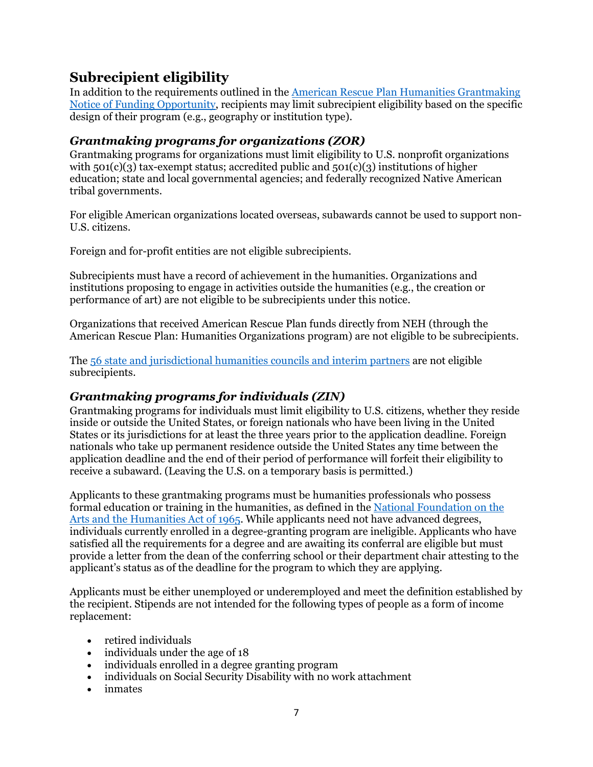## <span id="page-6-0"></span>**Subrecipient eligibility**

In addition to the requirements outlined in the American Rescue Plan [Humanities Grantmaking](https://www.neh.gov/sites/default/files/inline-files/American%20Rescue%20Plan%20Humanities%20Grantmaking%20NOFO%2020210513-ARPG.pdf)  [Notice of Funding Opportunity,](https://www.neh.gov/sites/default/files/inline-files/American%20Rescue%20Plan%20Humanities%20Grantmaking%20NOFO%2020210513-ARPG.pdf) recipients may limit subrecipient eligibility based on the specific design of their program (e.g., geography or institution type).

#### <span id="page-6-1"></span>*Grantmaking programs for organizations (ZOR)*

Grantmaking programs for organizations must limit eligibility to U.S. nonprofit organizations with  $501(c)(3)$  tax-exempt status; accredited public and  $501(c)(3)$  institutions of higher education; state and local governmental agencies; and federally recognized Native American tribal governments.

For eligible American organizations located overseas, subawards cannot be used to support non-U.S. citizens.

Foreign and for-profit entities are not eligible subrecipients.

Subrecipients must have a record of achievement in the humanities. Organizations and institutions proposing to engage in activities outside the humanities (e.g., the creation or performance of art) are not eligible to be subrecipients under this notice.

Organizations that received American Rescue Plan funds directly from NEH (through the American Rescue Plan: Humanities Organizations program) are not eligible to be subrecipients.

The [56 state and jurisdictional humanities councils and interim partners](https://www.neh.gov/about/state-humanities-councils) are not eligible subrecipients.

#### <span id="page-6-2"></span>*Grantmaking programs for individuals (ZIN)*

Grantmaking programs for individuals must limit eligibility to U.S. citizens, whether they reside inside or outside the United States, or foreign nationals who have been living in the United States or its jurisdictions for at least the three years prior to the application deadline. Foreign nationals who take up permanent residence outside the United States any time between the application deadline and the end of their period of performance will forfeit their eligibility to receive a subaward. (Leaving the U.S. on a temporary basis is permitted.)

Applicants to these grantmaking programs must be humanities professionals who possess formal education or training in the humanities, as defined in the [National Foundation on the](https://www.neh.gov/about/history/national-foundation-arts-and-humanities-act-1965-pl-89-209)  [Arts and the Humanities Act of 1965.](https://www.neh.gov/about/history/national-foundation-arts-and-humanities-act-1965-pl-89-209) While applicants need not have advanced degrees, individuals currently enrolled in a degree-granting program are ineligible. Applicants who have satisfied all the requirements for a degree and are awaiting its conferral are eligible but must provide a letter from the dean of the conferring school or their department chair attesting to the applicant's status as of the deadline for the program to which they are applying.

Applicants must be either unemployed or underemployed and meet the definition established by the recipient. Stipends are not intended for the following types of people as a form of income replacement:

- retired individuals
- individuals under the age of 18
- individuals enrolled in a degree granting program
- individuals on Social Security Disability with no work attachment
- inmates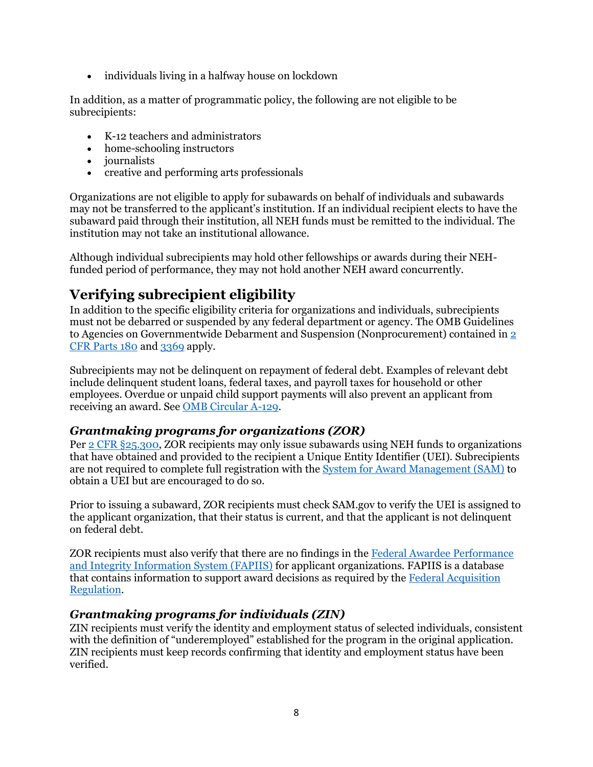• individuals living in a halfway house on lockdown

In addition, as a matter of programmatic policy, the following are not eligible to be subrecipients:

- K-12 teachers and administrators
- home-schooling instructors
- *journalists*
- creative and performing arts professionals

Organizations are not eligible to apply for subawards on behalf of individuals and subawards may not be transferred to the applicant's institution. If an individual recipient elects to have the subaward paid through their institution, all NEH funds must be remitted to the individual. The institution may not take an institutional allowance.

Although individual subrecipients may hold other fellowships or awards during their NEHfunded period of performance, they may not hold another NEH award concurrently.

## <span id="page-7-0"></span>**Verifying subrecipient eligibility**

In addition to the specific eligibility criteria for organizations and individuals, subrecipients must not be debarred or suspended by any federal department or agency. The OMB Guidelines to Agencies on Governmentwide Debarment and Suspension (Nonprocurement) contained in [2](https://www.ecfr.gov/cgi-bin/text-idx?tpl=/ecfrbrowse/Title02/2cfr180_main_02.tpl)  [CFR Parts 180](https://www.ecfr.gov/cgi-bin/text-idx?tpl=/ecfrbrowse/Title02/2cfr180_main_02.tpl) an[d 3369](https://www.ecfr.gov/cgi-bin/text-idx?SID=8680aeef730451c8612427c92b89cc2d&mc=true&node=pt2.1.3369&rgn=div5) apply.

Subrecipients may not be delinquent on repayment of federal debt. Examples of relevant debt include delinquent student loans, federal taxes, and payroll taxes for household or other employees. Overdue or unpaid child support payments will also prevent an applicant from receiving an award. Se[e OMB Circular A-129.](https://www.whitehouse.gov/sites/whitehouse.gov/files/omb/circulars/A129/a-129.pdf)

#### <span id="page-7-1"></span>*Grantmaking programs for organizations (ZOR)*

Per [2 CFR §25.300,](https://www.ecfr.gov/cgi-bin/text-idx?SID=7bbb48b7382aaa49db7b731b71ebaa8c&mc=true&node=se2.1.25_1300&rgn=div8) ZOR recipients may only issue subawards using NEH funds to organizations that have obtained and provided to the recipient a Unique Entity Identifier (UEI). Subrecipients are not required to complete full registration with the [System for Award Management \(SAM\)](https://www.sam.gov/SAM/) to obtain a UEI but are encouraged to do so.

Prior to issuing a subaward, ZOR recipients must check SAM.gov to verify the UEI is assigned to the applicant organization, that their status is current, and that the applicant is not delinquent on federal debt.

ZOR recipients must also verify that there are no findings in the [Federal Awardee Performance](https://www.fapiis.gov/)  [and Integrity Information System \(FAPIIS\)](https://www.fapiis.gov/) for applicant organizations. FAPIIS is a database that contains information to support award decisions as required by the [Federal Acquisition](https://www.acquisition.gov/browse/index/far)  [Regulation.](https://www.acquisition.gov/browse/index/far)

#### <span id="page-7-2"></span>*Grantmaking programs for individuals (ZIN)*

ZIN recipients must verify the identity and employment status of selected individuals, consistent with the definition of "underemployed" established for the program in the original application. ZIN recipients must keep records confirming that identity and employment status have been verified.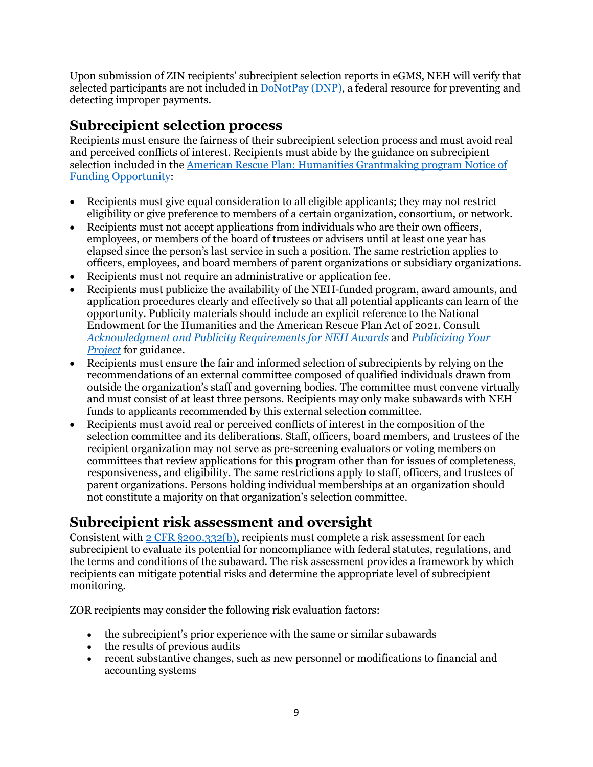Upon submission of ZIN recipients' subrecipient selection reports in eGMS, NEH will verify that selected participants are not included in [DoNotPay \(DNP\),](https://fiscal.treasury.gov/DNP/) a federal resource for preventing and detecting improper payments.

### <span id="page-8-0"></span>**Subrecipient selection process**

Recipients must ensure the fairness of their subrecipient selection process and must avoid real and perceived conflicts of interest. Recipients must abide by the guidance on subrecipient selection included in the [American Rescue Plan: Humanities Grantmaking program](https://www.neh.gov/sites/default/files/inline-files/American%20Rescue%20Plan%20Humanities%20Grantmaking%20NOFO%2020210513-ARPG.pdf) Notice of [Funding Opportunity:](https://www.neh.gov/sites/default/files/inline-files/American%20Rescue%20Plan%20Humanities%20Grantmaking%20NOFO%2020210513-ARPG.pdf)

- Recipients must give equal consideration to all eligible applicants; they may not restrict eligibility or give preference to members of a certain organization, consortium, or network.
- Recipients must not accept applications from individuals who are their own officers, employees, or members of the board of trustees or advisers until at least one year has elapsed since the person's last service in such a position. The same restriction applies to officers, employees, and board members of parent organizations or subsidiary organizations.
- Recipients must not require an administrative or application fee.
- Recipients must publicize the availability of the NEH-funded program, award amounts, and application procedures clearly and effectively so that all potential applicants can learn of the opportunity. Publicity materials should include an explicit reference to the National Endowment for the Humanities and the American Rescue Plan Act of 2021. Consult *[Acknowledgment and Publicity Requirements for NEH Awards](https://www.neh.gov/grants/manage/acknowledgment-and-publicity-requirements-neh-awards)* and *[Publicizing Your](https://www.neh.gov/grants/manage/publicizing-your-project)  [Project](https://www.neh.gov/grants/manage/publicizing-your-project)* for guidance.
- Recipients must ensure the fair and informed selection of subrecipients by relying on the recommendations of an external committee composed of qualified individuals drawn from outside the organization's staff and governing bodies. The committee must convene virtually and must consist of at least three persons. Recipients may only make subawards with NEH funds to applicants recommended by this external selection committee.
- Recipients must avoid real or perceived conflicts of interest in the composition of the selection committee and its deliberations. Staff, officers, board members, and trustees of the recipient organization may not serve as pre-screening evaluators or voting members on committees that review applications for this program other than for issues of completeness, responsiveness, and eligibility. The same restrictions apply to staff, officers, and trustees of parent organizations. Persons holding individual memberships at an organization should not constitute a majority on that organization's selection committee.

## <span id="page-8-1"></span>**Subrecipient risk assessment and oversight**

Consistent with  $2$  CFR  $\S 200.332(b)$ , recipients must complete a risk assessment for each subrecipient to evaluate its potential for noncompliance with federal statutes, regulations, and the terms and conditions of the subaward. The risk assessment provides a framework by which recipients can mitigate potential risks and determine the appropriate level of subrecipient monitoring.

ZOR recipients may consider the following risk evaluation factors:

- the subrecipient's prior experience with the same or similar subawards
- the results of previous audits
- recent substantive changes, such as new personnel or modifications to financial and accounting systems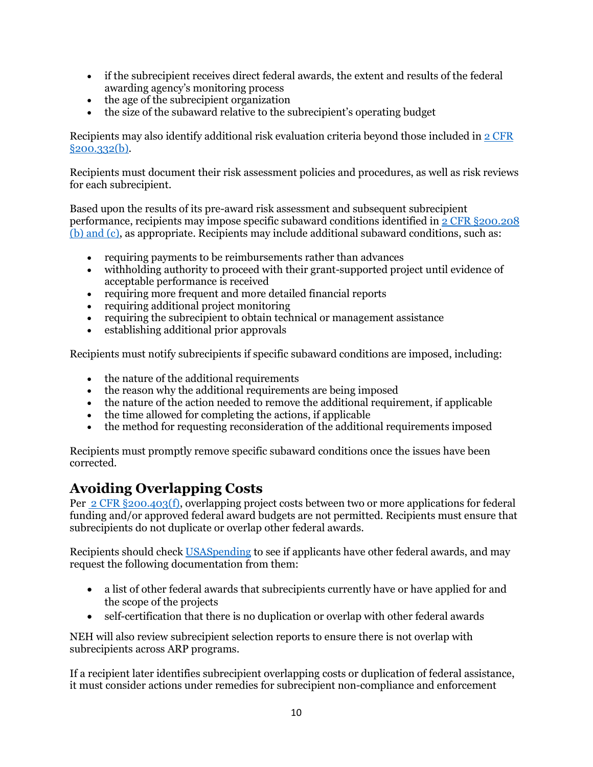- if the subrecipient receives direct federal awards, the extent and results of the federal awarding agency's monitoring process
- the age of the subrecipient organization
- the size of the subaward relative to the subrecipient's operating budget

Recipients may also identify additional risk evaluation criteria beyond those included in [2 CFR](https://www.ecfr.gov/current/title-2/subtitle-A/chapter-II/part-200/subpart-D/subject-group-ECFR031321e29ac5bbd/section-200.332)  [§200.332\(b\).](https://www.ecfr.gov/current/title-2/subtitle-A/chapter-II/part-200/subpart-D/subject-group-ECFR031321e29ac5bbd/section-200.332)

Recipients must document their risk assessment policies and procedures, as well as risk reviews for each subrecipient.

Based upon the results of its pre-award risk assessment and subsequent subrecipient performance, recipients may impose specific subaward conditions identified in [2 CFR §200.208](https://www.ecfr.gov/current/title-2/subtitle-A/chapter-II/part-200#200.208)  [\(b\) and \(c\),](https://www.ecfr.gov/current/title-2/subtitle-A/chapter-II/part-200#200.208) as appropriate. Recipients may include additional subaward conditions, such as:

- requiring payments to be reimbursements rather than advances
- withholding authority to proceed with their grant-supported project until evidence of acceptable performance is received
- requiring more frequent and more detailed financial reports
- requiring additional project monitoring
- requiring the subrecipient to obtain technical or management assistance
- establishing additional prior approvals

Recipients must notify subrecipients if specific subaward conditions are imposed, including:

- the nature of the additional requirements
- the reason why the additional requirements are being imposed
- the nature of the action needed to remove the additional requirement, if applicable
- the time allowed for completing the actions, if applicable
- the method for requesting reconsideration of the additional requirements imposed

Recipients must promptly remove specific subaward conditions once the issues have been corrected.

### <span id="page-9-0"></span>**Avoiding Overlapping Costs**

Per [2 CFR §200.403\(f\),](https://www.ecfr.gov/current/title-2/subtitle-A/chapter-II/part-200/subpart-E/subject-group-ECFRea20080eff2ea53/section-200.403) overlapping project costs between two or more applications for federal funding and/or approved federal award budgets are not permitted. Recipients must ensure that subrecipients do not duplicate or overlap other federal awards.

Recipients should chec[k USASpending](https://www.usaspending.gov/) to see if applicants have other federal awards, and may request the following documentation from them:

- a list of other federal awards that subrecipients currently have or have applied for and the scope of the projects
- self-certification that there is no duplication or overlap with other federal awards

NEH will also review subrecipient selection reports to ensure there is not overlap with subrecipients across ARP programs.

If a recipient later identifies subrecipient overlapping costs or duplication of federal assistance, it must consider actions under remedies for subrecipient non-compliance and enforcement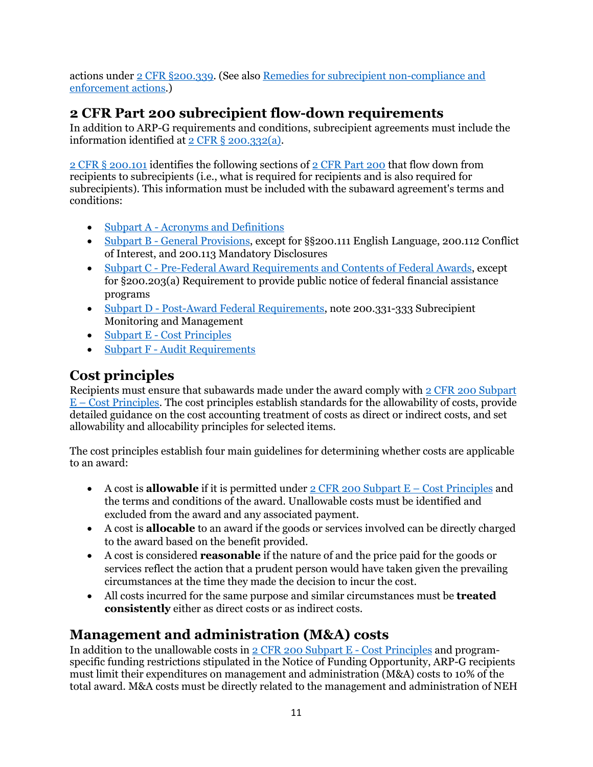actions under [2 CFR §200.339.](https://www.ecfr.gov/current/title-2/subtitle-A/chapter-II/part-200/subpart-D/subject-group-ECFR86b76dde0e1e9dc/section-200.339) (See also [Remedies for subrecipient non-compliance and](#page-13-1)  [enforcement actions.](#page-13-1))

## <span id="page-10-0"></span>**2 CFR Part 200 subrecipient flow-down requirements**

In addition to ARP-G requirements and conditions, subrecipient agreements must include the information identified at [2 CFR § 200.332\(a\).](https://www.ecfr.gov/current/title-2/subtitle-A/chapter-II/part-200/subpart-D/subject-group-ECFR031321e29ac5bbd/section-200.332)

[2 CFR § 200.101](https://www.ecfr.gov/current/title-2/subtitle-A/chapter-II/part-200#200.101) identifies the following sections of [2 CFR Part 200](https://www.ecfr.gov/current/title-2/subtitle-A/chapter-II/part-200) that flow down from recipients to subrecipients (i.e., what is required for recipients and is also required for subrecipients). This information must be included with the subaward agreement's terms and conditions:

- Subpart A [Acronyms and Definitions](https://www.ecfr.gov/current/title-2/subtitle-A/chapter-II/part-200/subpart-A)
- Subpart B [General Provisions,](https://www.ecfr.gov/current/title-2/subtitle-A/chapter-II/part-200/subpart-B) except for §§200.111 English Language, 200.112 Conflict of Interest, and 200.113 Mandatory Disclosures
- Subpart C [Pre-Federal Award Requirements and Contents of Federal Awards,](https://www.ecfr.gov/current/title-2/subtitle-A/chapter-II/part-200/subpart-C?toc=1) except for §200.203(a) Requirement to provide public notice of federal financial assistance programs
- Subpart D [Post-Award Federal Requirements,](https://www.ecfr.gov/current/title-2/subtitle-A/chapter-II/part-200/subpart-D?toc=1) note 200.331-333 Subrecipient Monitoring and Management
- Subpart E [Cost Principles](https://www.ecfr.gov/current/title-2/subtitle-A/chapter-II/part-200/subpart-E?toc=1)
- Subpart F [Audit Requirements](https://www.ecfr.gov/current/title-2/subtitle-A/chapter-II/part-200/subpart-F?toc=1)

## <span id="page-10-1"></span>**Cost principles**

Recipients must ensure that subawards made under the award comply with [2 CFR 200 Subpart](https://www.ecfr.gov/current/title-2/subtitle-A/chapter-II/part-200/subpart-E)  E – [Cost Principles.](https://www.ecfr.gov/current/title-2/subtitle-A/chapter-II/part-200/subpart-E) The cost principles establish standards for the allowability of costs, provide detailed guidance on the cost accounting treatment of costs as direct or indirect costs, and set allowability and allocability principles for selected items.

The cost principles establish four main guidelines for determining whether costs are applicable to an award:

- A cost is **allowable** if it is permitted under [2 CFR 200 Subpart E –](https://www.ecfr.gov/current/title-2/subtitle-A/chapter-II/part-200/subpart-E) Cost Principles and the terms and conditions of the award. Unallowable costs must be identified and excluded from the award and any associated payment.
- A cost is **allocable** to an award if the goods or services involved can be directly charged to the award based on the benefit provided.
- A cost is considered **reasonable** if the nature of and the price paid for the goods or services reflect the action that a prudent person would have taken given the prevailing circumstances at the time they made the decision to incur the cost.
- All costs incurred for the same purpose and similar circumstances must be **treated consistently** either as direct costs or as indirect costs.

## <span id="page-10-2"></span>**Management and administration (M&A) costs**

In addition to the unallowable costs in  $2$  CFR 200 Subpart E - Cost Principles and programspecific funding restrictions stipulated in the Notice of Funding Opportunity, ARP-G recipients must limit their expenditures on management and administration (M&A) costs to 10% of the total award. M&A costs must be directly related to the management and administration of NEH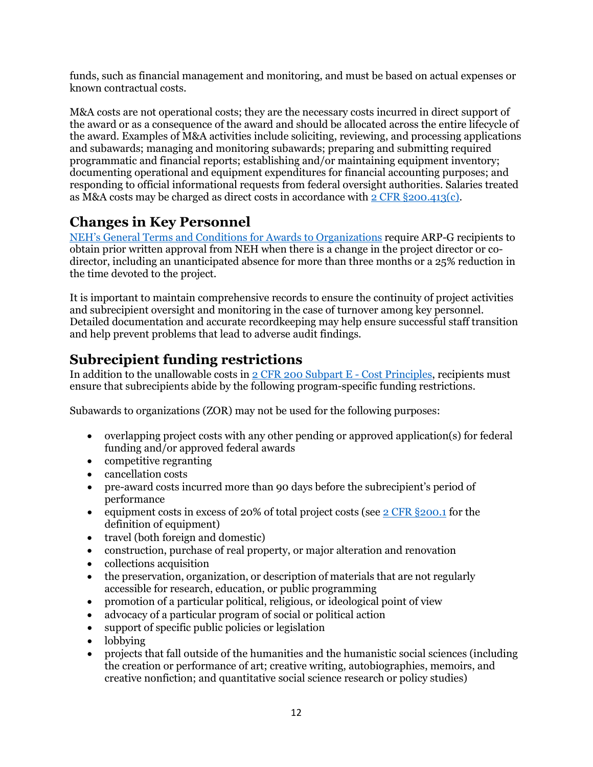funds, such as financial management and monitoring, and must be based on actual expenses or known contractual costs.

M&A costs are not operational costs; they are the necessary costs incurred in direct support of the award or as a consequence of the award and should be allocated across the entire lifecycle of the award. Examples of M&A activities include soliciting, reviewing, and processing applications and subawards; managing and monitoring subawards; preparing and submitting required programmatic and financial reports; establishing and/or maintaining equipment inventory; documenting operational and equipment expenditures for financial accounting purposes; and responding to official informational requests from federal oversight authorities. Salaries treated as M&A costs may be charged as direct costs in accordance with  $2$  CFR §200.413(c).

## <span id="page-11-0"></span>**Changes in Key Personnel**

[NEH's General Terms and Conditions for Awards to Organizations](https://www.neh.gov/grants/manage/general-terms-and-conditions-awards-organizations-grants-and-cooperative-agreements-issued-december) require ARP-G recipients to obtain prior written approval from NEH when there is a change in the project director or codirector, including an unanticipated absence for more than three months or a 25% reduction in the time devoted to the project.

It is important to maintain comprehensive records to ensure the continuity of project activities and subrecipient oversight and monitoring in the case of turnover among key personnel. Detailed documentation and accurate recordkeeping may help ensure successful staff transition and help prevent problems that lead to adverse audit findings.

## <span id="page-11-1"></span>**Subrecipient funding restrictions**

In addition to the unallowable costs in [2 CFR 200 Subpart E -](https://www.ecfr.gov/current/title-2/subtitle-A/chapter-II/part-200/subpart-E) Cost Principles, recipients must ensure that subrecipients abide by the following program-specific funding restrictions.

Subawards to organizations (ZOR) may not be used for the following purposes:

- overlapping project costs with any other pending or approved application(s) for federal funding and/or approved federal awards
- competitive regranting
- cancellation costs
- pre-award costs incurred more than 90 days before the subrecipient's period of performance
- equipment costs in excess of 20% of total project costs (see [2 CFR §200.1](https://www.ecfr.gov/current/title-2/subtitle-A/chapter-II/part-200/subpart-A/subject-group-ECFR2a6a0087862fd2c/section-200.1) for the definition of equipment)
- travel (both foreign and domestic)
- construction, purchase of real property, or major alteration and renovation
- collections acquisition
- the preservation, organization, or description of materials that are not regularly accessible for research, education, or public programming
- promotion of a particular political, religious, or ideological point of view
- advocacy of a particular program of social or political action
- support of specific public policies or legislation
- lobbying
- projects that fall outside of the humanities and the humanistic social sciences (including the creation or performance of art; creative writing, autobiographies, memoirs, and creative nonfiction; and quantitative social science research or policy studies)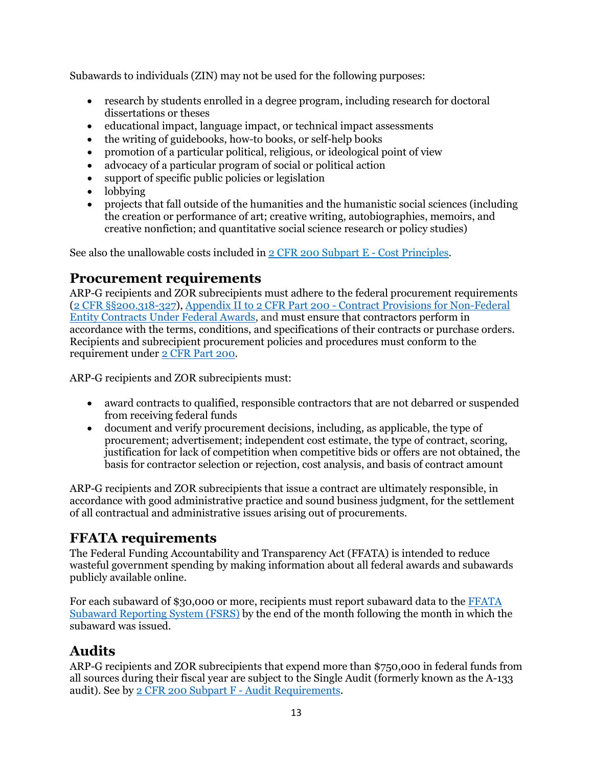Subawards to individuals (ZIN) may not be used for the following purposes:

- research by students enrolled in a degree program, including research for doctoral dissertations or theses
- educational impact, language impact, or technical impact assessments
- the writing of guidebooks, how-to books, or self-help books
- promotion of a particular political, religious, or ideological point of view
- advocacy of a particular program of social or political action
- support of specific public policies or legislation
- lobbying
- projects that fall outside of the humanities and the humanistic social sciences (including the creation or performance of art; creative writing, autobiographies, memoirs, and creative nonfiction; and quantitative social science research or policy studies)

<span id="page-12-0"></span>See also the unallowable costs included in [2 CFR 200 Subpart E -](https://www.ecfr.gov/current/title-2/subtitle-A/chapter-II/part-200/subpart-E) Cost Principles.

### **Procurement requirements**

ARP-G recipients and ZOR subrecipients must adhere to the federal procurement requirements [\(2 CFR §§200.318-327\)](https://www.ecfr.gov/current/title-2/subtitle-A/chapter-II/part-200/subpart-D/subject-group-ECFR031321e29ac5bbd/section-200.318), Appendix II to 2 CFR Part 200 - [Contract Provisions for Non-Federal](https://www.ecfr.gov/current/title-2/subtitle-A/chapter-II/part-200/appendix-Appendix%20II%20to%20Part%20200)  [Entity Contracts Under Federal Awards,](https://www.ecfr.gov/current/title-2/subtitle-A/chapter-II/part-200/appendix-Appendix%20II%20to%20Part%20200) and must ensure that contractors perform in accordance with the terms, conditions, and specifications of their contracts or purchase orders. Recipients and subrecipient procurement policies and procedures must conform to the requirement under [2 CFR Part 200.](https://www.ecfr.gov/current/title-2/subtitle-A/chapter-II/part-200)

ARP-G recipients and ZOR subrecipients must:

- award contracts to qualified, responsible contractors that are not debarred or suspended from receiving federal funds
- document and verify procurement decisions, including, as applicable, the type of procurement; advertisement; independent cost estimate, the type of contract, scoring, justification for lack of competition when competitive bids or offers are not obtained, the basis for contractor selection or rejection, cost analysis, and basis of contract amount

ARP-G recipients and ZOR subrecipients that issue a contract are ultimately responsible, in accordance with good administrative practice and sound business judgment, for the settlement of all contractual and administrative issues arising out of procurements.

## <span id="page-12-1"></span>**FFATA requirements**

The Federal Funding Accountability and Transparency Act (FFATA) is intended to reduce wasteful government spending by making information about all federal awards and subawards publicly available online.

For each subaward of \$30,000 or more, recipients must report subaward data to the [FFATA](https://www.fsrs.gov/)  [Subaward Reporting System \(FSRS\)](https://www.fsrs.gov/) by the end of the month following the month in which the subaward was issued.

## <span id="page-12-2"></span>**Audits**

ARP-G recipients and ZOR subrecipients that expend more than \$750,000 in federal funds from all sources during their fiscal year are subject to the Single Audit (formerly known as the A-133 audit). See b[y 2 CFR 200 Subpart F -](https://www.ecfr.gov/current/title-2/subtitle-A/chapter-II/part-200/subpart-F) Audit Requirements.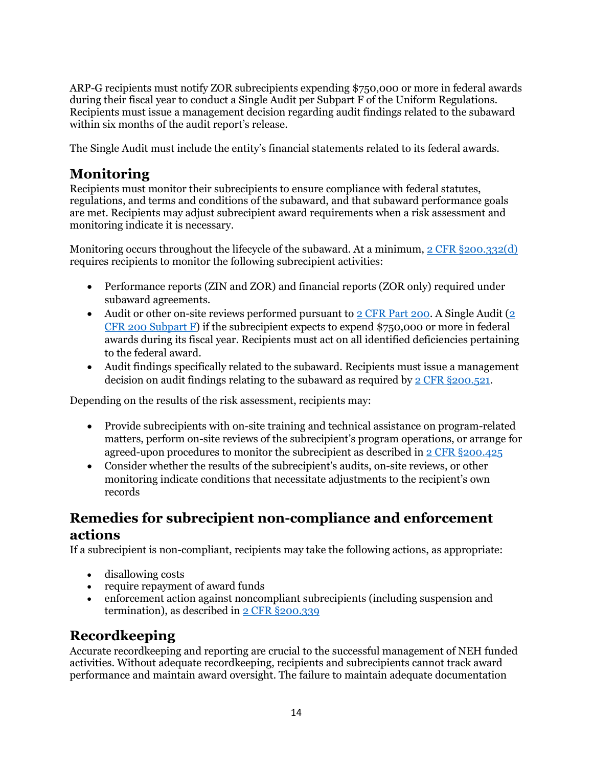ARP-G recipients must notify ZOR subrecipients expending \$750,000 or more in federal awards during their fiscal year to conduct a Single Audit per Subpart F of the Uniform Regulations. Recipients must issue a management decision regarding audit findings related to the subaward within six months of the audit report's release.

<span id="page-13-0"></span>The Single Audit must include the entity's financial statements related to its federal awards.

## **Monitoring**

Recipients must monitor their subrecipients to ensure compliance with federal statutes, regulations, and terms and conditions of the subaward, and that subaward performance goals are met. Recipients may adjust subrecipient award requirements when a risk assessment and monitoring indicate it is necessary.

Monitoring occurs throughout the lifecycle of the subaward. At a minimum, [2 CFR §200.332\(d\)](https://www.ecfr.gov/current/title-2/subtitle-A/chapter-II/part-200/subpart-D/subject-group-ECFR031321e29ac5bbd/section-200.332) requires recipients to monitor the following subrecipient activities:

- Performance reports (ZIN and ZOR) and financial reports (ZOR only) required under subaward agreements.
- Audit or other on-site reviews performed pursuant to  $2$  CFR Part 200. A Single Audit ( $2$ [CFR 200 Subpart F\)](https://www.ecfr.gov/current/title-2/part-200/subpart-F) if the subrecipient expects to expend \$750,000 or more in federal awards during its fiscal year. Recipients must act on all identified deficiencies pertaining to the federal award.
- Audit findings specifically related to the subaward. Recipients must issue a management decision on audit findings relating to the subaward as required by [2 CFR §200.521.](https://www.ecfr.gov/current/title-2/section-200.521)

Depending on the results of the risk assessment, recipients may:

- Provide subrecipients with on-site training and technical assistance on program-related matters, perform on-site reviews of the subrecipient's program operations, or arrange for agreed-upon procedures to monitor the subrecipient as described in [2 CFR §200.425](https://www.ecfr.gov/current/title-2/section-200.425)
- Consider whether the results of the subrecipient's audits, on-site reviews, or other monitoring indicate conditions that necessitate adjustments to the recipient's own records

## <span id="page-13-1"></span>**Remedies for subrecipient non-compliance and enforcement actions**

If a subrecipient is non-compliant, recipients may take the following actions, as appropriate:

- disallowing costs
- require repayment of award funds
- enforcement action against noncompliant subrecipients (including suspension and termination), as described i[n 2 CFR §200.339](https://www.ecfr.gov/current/title-2/subtitle-A/chapter-II/part-200/subpart-D/subject-group-ECFR86b76dde0e1e9dc/section-200.339)

## <span id="page-13-2"></span>**Recordkeeping**

Accurate recordkeeping and reporting are crucial to the successful management of NEH funded activities. Without adequate recordkeeping, recipients and subrecipients cannot track award performance and maintain award oversight. The failure to maintain adequate documentation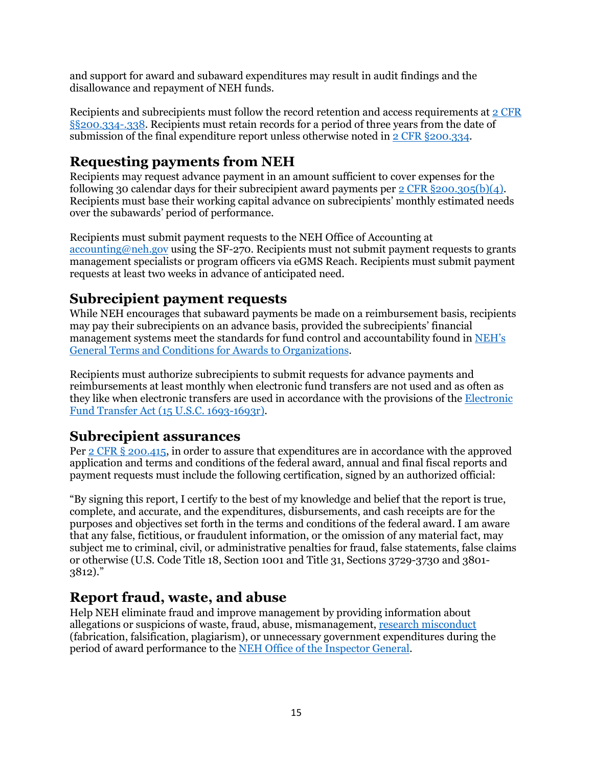and support for award and subaward expenditures may result in audit findings and the disallowance and repayment of NEH funds.

Recipients and subrecipients must follow the record retention and access requirements at [2 CFR](https://www.ecfr.gov/current/title-2/subtitle-A/chapter-II/part-200/subpart-D/subject-group-ECFR031321e29ac5bbd/section-200.334)  [§§200.334-.338.](https://www.ecfr.gov/current/title-2/subtitle-A/chapter-II/part-200/subpart-D/subject-group-ECFR031321e29ac5bbd/section-200.334) Recipients must retain records for a period of three years from the date of submission of the final expenditure report unless otherwise noted in [2 CFR §200.334.](https://www.ecfr.gov/current/title-2/subtitle-A/chapter-II/part-200/subpart-D/subject-group-ECFR031321e29ac5bbd/section-200.334)

## <span id="page-14-0"></span>**Requesting payments from NEH**

Recipients may request advance payment in an amount sufficient to cover expenses for the following 30 calendar days for their subrecipient award payments per 2 CFR  $\S 200.305(b)(4)$ . Recipients must base their working capital advance on subrecipients' monthly estimated needs over the subawards' period of performance.

Recipients must submit payment requests to the NEH Office of Accounting at [accounting@neh.gov](mailto:accounting@neh.gov) using the SF-270. Recipients must not submit payment requests to grants management specialists or program officers via eGMS Reach. Recipients must submit payment requests at least two weeks in advance of anticipated need.

## <span id="page-14-1"></span>**Subrecipient payment requests**

While NEH encourages that subaward payments be made on a reimbursement basis, recipients may pay their subrecipients on an advance basis, provided the subrecipients' financial management systems meet the standards for fund control and accountability found in NEH's [General Terms and Conditions for Awards to Organizations.](https://www.neh.gov/grants/manage/general-terms-and-conditions-awards-organizations-grants-and-cooperative-agreements-issued-december)

Recipients must authorize subrecipients to submit requests for advance payments and reimbursements at least monthly when electronic fund transfers are not used and as often as they like when electronic transfers are used in accordance with the provisions of the [Electronic](https://www.federalreserve.gov/boarddocs/caletters/2008/0807/08-07_attachment.pdf)  [Fund Transfer Act \(15 U.S.C. 1693-1693r\).](https://www.federalreserve.gov/boarddocs/caletters/2008/0807/08-07_attachment.pdf)

### <span id="page-14-2"></span>**Subrecipient assurances**

Per 2 CFR [§ 200.415,](https://www.ecfr.gov/current/title-2/subtitle-A/chapter-II/part-200/subpart-E/subject-group-ECFRd93f2a98b1f6455/section-200.415) in order to assure that expenditures are in accordance with the approved application and terms and conditions of the federal award, annual and final fiscal reports and payment requests must include the following certification, signed by an authorized official:

"By signing this report, I certify to the best of my knowledge and belief that the report is true, complete, and accurate, and the expenditures, disbursements, and cash receipts are for the purposes and objectives set forth in the terms and conditions of the federal award. I am aware that any false, fictitious, or fraudulent information, or the omission of any material fact, may subject me to criminal, civil, or administrative penalties for fraud, false statements, false claims or otherwise (U.S. Code Title 18, Section 1001 and Title 31, Sections 3729-3730 and 3801- 3812)."

## <span id="page-14-3"></span>**Report fraud, waste, and abuse**

Help NEH eliminate fraud and improve management by providing information about allegations or suspicions of waste, fraud, abuse, mismanagement, [research misconduct](https://www.neh.gov/grants/manage/research-misconduct-policy) (fabrication, falsification, plagiarism), or unnecessary government expenditures during the period of award performance to the [NEH Office of the Inspector General.](https://www.neh.gov/about/oig)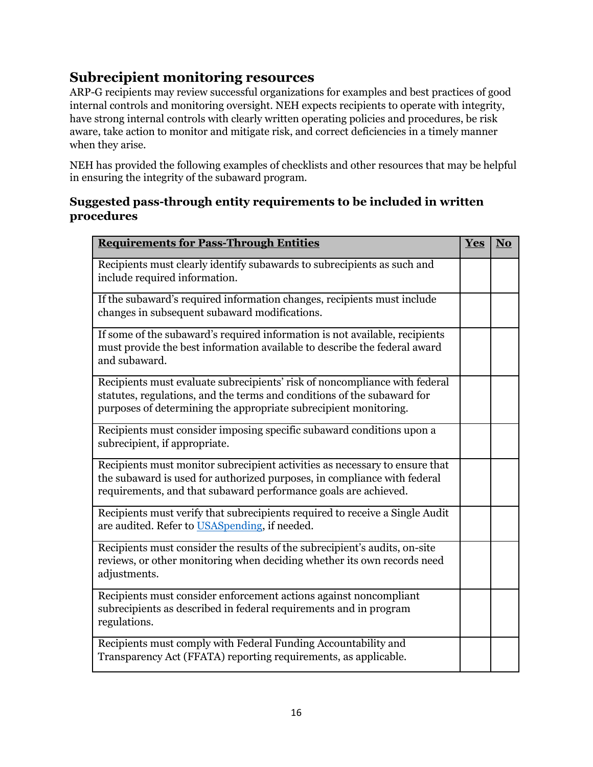## <span id="page-15-0"></span>**Subrecipient monitoring resources**

ARP-G recipients may review successful organizations for examples and best practices of good internal controls and monitoring oversight. NEH expects recipients to operate with integrity, have strong internal controls with clearly written operating policies and procedures, be risk aware, take action to monitor and mitigate risk, and correct deficiencies in a timely manner when they arise.

NEH has provided the following examples of checklists and other resources that may be helpful in ensuring the integrity of the subaward program.

#### <span id="page-15-1"></span>**Suggested pass-through entity requirements to be included in written procedures**

| <b>Requirements for Pass-Through Entities</b>                                                                                                                                                                              | Yes | N <sub>o</sub> |
|----------------------------------------------------------------------------------------------------------------------------------------------------------------------------------------------------------------------------|-----|----------------|
| Recipients must clearly identify subawards to subrecipients as such and<br>include required information.                                                                                                                   |     |                |
| If the subaward's required information changes, recipients must include<br>changes in subsequent subaward modifications.                                                                                                   |     |                |
| If some of the subaward's required information is not available, recipients<br>must provide the best information available to describe the federal award<br>and subaward.                                                  |     |                |
| Recipients must evaluate subrecipients' risk of noncompliance with federal<br>statutes, regulations, and the terms and conditions of the subaward for<br>purposes of determining the appropriate subrecipient monitoring.  |     |                |
| Recipients must consider imposing specific subaward conditions upon a<br>subrecipient, if appropriate.                                                                                                                     |     |                |
| Recipients must monitor subrecipient activities as necessary to ensure that<br>the subaward is used for authorized purposes, in compliance with federal<br>requirements, and that subaward performance goals are achieved. |     |                |
| Recipients must verify that subrecipients required to receive a Single Audit<br>are audited. Refer to USASpending, if needed.                                                                                              |     |                |
| Recipients must consider the results of the subrecipient's audits, on-site<br>reviews, or other monitoring when deciding whether its own records need<br>adjustments.                                                      |     |                |
| Recipients must consider enforcement actions against noncompliant<br>subrecipients as described in federal requirements and in program<br>regulations.                                                                     |     |                |
| Recipients must comply with Federal Funding Accountability and<br>Transparency Act (FFATA) reporting requirements, as applicable.                                                                                          |     |                |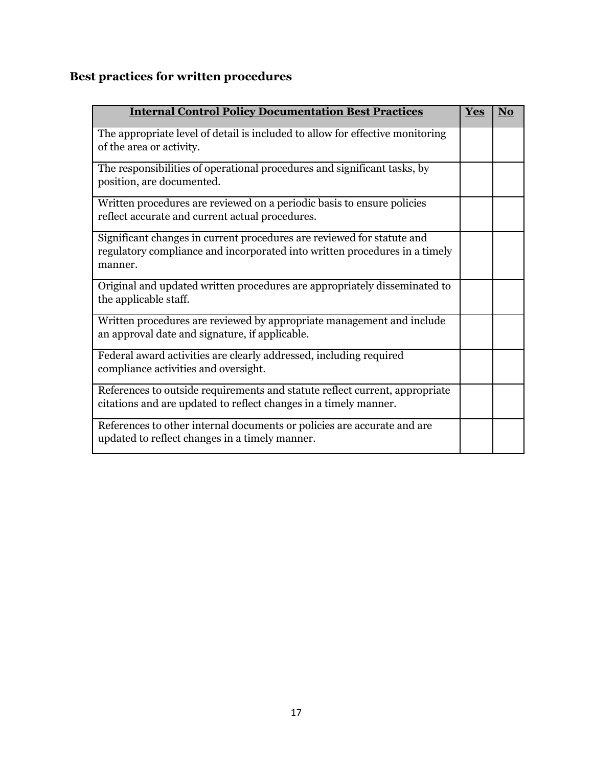# <span id="page-16-0"></span>**Best practices for written procedures**

| <b>Internal Control Policy Documentation Best Practices</b>                                                                                                     | <b>Yes</b> | <b>No</b> |
|-----------------------------------------------------------------------------------------------------------------------------------------------------------------|------------|-----------|
| The appropriate level of detail is included to allow for effective monitoring<br>of the area or activity.                                                       |            |           |
| The responsibilities of operational procedures and significant tasks, by<br>position, are documented.                                                           |            |           |
| Written procedures are reviewed on a periodic basis to ensure policies<br>reflect accurate and current actual procedures.                                       |            |           |
| Significant changes in current procedures are reviewed for statute and<br>regulatory compliance and incorporated into written procedures in a timely<br>manner. |            |           |
| Original and updated written procedures are appropriately disseminated to<br>the applicable staff.                                                              |            |           |
| Written procedures are reviewed by appropriate management and include<br>an approval date and signature, if applicable.                                         |            |           |
| Federal award activities are clearly addressed, including required<br>compliance activities and oversight.                                                      |            |           |
| References to outside requirements and statute reflect current, appropriate<br>citations and are updated to reflect changes in a timely manner.                 |            |           |
| References to other internal documents or policies are accurate and are<br>updated to reflect changes in a timely manner.                                       |            |           |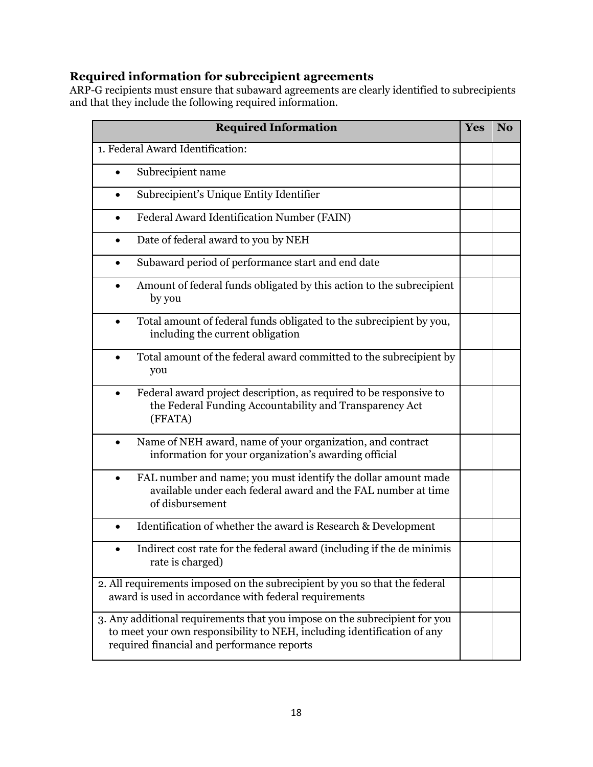### <span id="page-17-0"></span>**Required information for subrecipient agreements**

ARP-G recipients must ensure that subaward agreements are clearly identified to subrecipients and that they include the following required information.

| <b>Required Information</b>                                                                                                                                                                         | Yes | N <sub>o</sub> |
|-----------------------------------------------------------------------------------------------------------------------------------------------------------------------------------------------------|-----|----------------|
| 1. Federal Award Identification:                                                                                                                                                                    |     |                |
| Subrecipient name                                                                                                                                                                                   |     |                |
| Subrecipient's Unique Entity Identifier<br>$\bullet$                                                                                                                                                |     |                |
| Federal Award Identification Number (FAIN)<br>$\bullet$                                                                                                                                             |     |                |
| Date of federal award to you by NEH<br>$\bullet$                                                                                                                                                    |     |                |
| Subaward period of performance start and end date<br>$\bullet$                                                                                                                                      |     |                |
| Amount of federal funds obligated by this action to the subrecipient<br>$\bullet$<br>by you                                                                                                         |     |                |
| Total amount of federal funds obligated to the subrecipient by you,<br>$\bullet$<br>including the current obligation                                                                                |     |                |
| Total amount of the federal award committed to the subrecipient by<br>you                                                                                                                           |     |                |
| Federal award project description, as required to be responsive to<br>the Federal Funding Accountability and Transparency Act<br>(FFATA)                                                            |     |                |
| Name of NEH award, name of your organization, and contract<br>information for your organization's awarding official                                                                                 |     |                |
| FAL number and name; you must identify the dollar amount made<br>$\bullet$<br>available under each federal award and the FAL number at time<br>of disbursement                                      |     |                |
| Identification of whether the award is Research & Development                                                                                                                                       |     |                |
| Indirect cost rate for the federal award (including if the de minimis<br>rate is charged)                                                                                                           |     |                |
| 2. All requirements imposed on the subrecipient by you so that the federal<br>award is used in accordance with federal requirements                                                                 |     |                |
| 3. Any additional requirements that you impose on the subrecipient for you<br>to meet your own responsibility to NEH, including identification of any<br>required financial and performance reports |     |                |